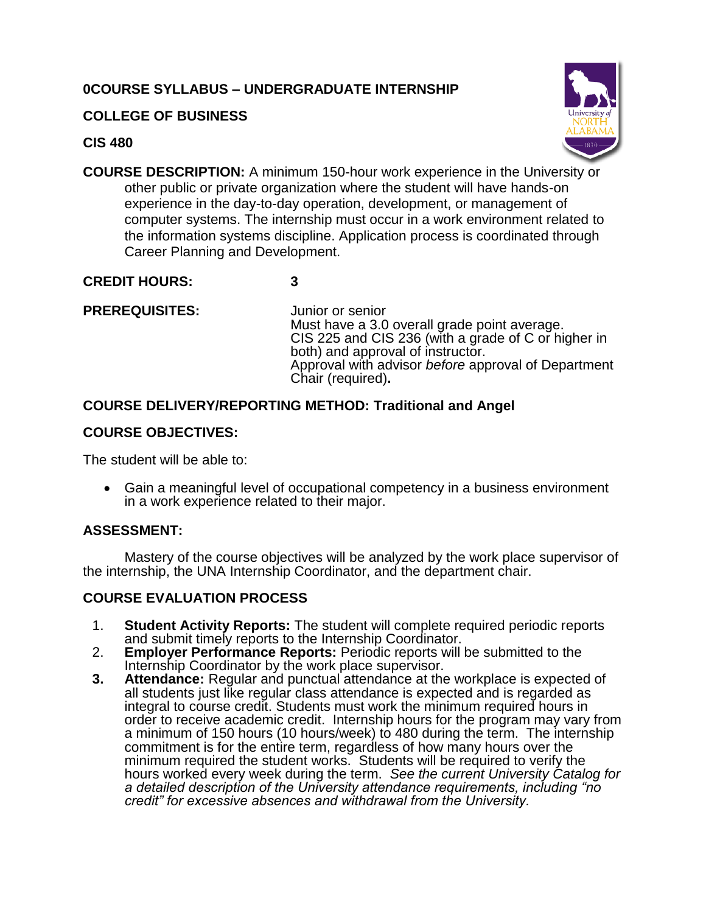# **0COURSE SYLLABUS – UNDERGRADUATE INTERNSHIP**

## **COLLEGE OF BUSINESS**

### **CIS 480**



**COURSE DESCRIPTION:** A minimum 150-hour work experience in the University or other public or private organization where the student will have hands-on experience in the day-to-day operation, development, or management of computer systems. The internship must occur in a work environment related to the information systems discipline. Application process is coordinated through Career Planning and Development.

## **CREDIT HOURS: 3**

## **PREREQUISITES:** Junior or senior

Must have a 3.0 overall grade point average. CIS 225 and CIS 236 (with a grade of C or higher in both) and approval of instructor. Approval with advisor *before* approval of Department Chair (required)**.**

# **COURSE DELIVERY/REPORTING METHOD: Traditional and Angel**

# **COURSE OBJECTIVES:**

The student will be able to:

 Gain a meaningful level of occupational competency in a business environment in a work experience related to their major.

# **ASSESSMENT:**

Mastery of the course objectives will be analyzed by the work place supervisor of the internship, the UNA Internship Coordinator, and the department chair.

# **COURSE EVALUATION PROCESS**

- 1. **Student Activity Reports:** The student will complete required periodic reports and submit timely reports to the Internship Coordinator.
- 2. **Employer Performance Reports:** Periodic reports will be submitted to the Internship Coordinator by the work place supervisor.
- **3. Attendance:** Regular and punctual attendance at the workplace is expected of all students just like regular class attendance is expected and is regarded as integral to course credit. Students must work the minimum required hours in order to receive academic credit. Internship hours for the program may vary from a minimum of 150 hours (10 hours/week) to 480 during the term. The internship commitment is for the entire term, regardless of how many hours over the minimum required the student works. Students will be required to verify the hours worked every week during the term. *See the current University Catalog for a detailed description of the University attendance requirements, including "no credit" for excessive absences and withdrawal from the University.*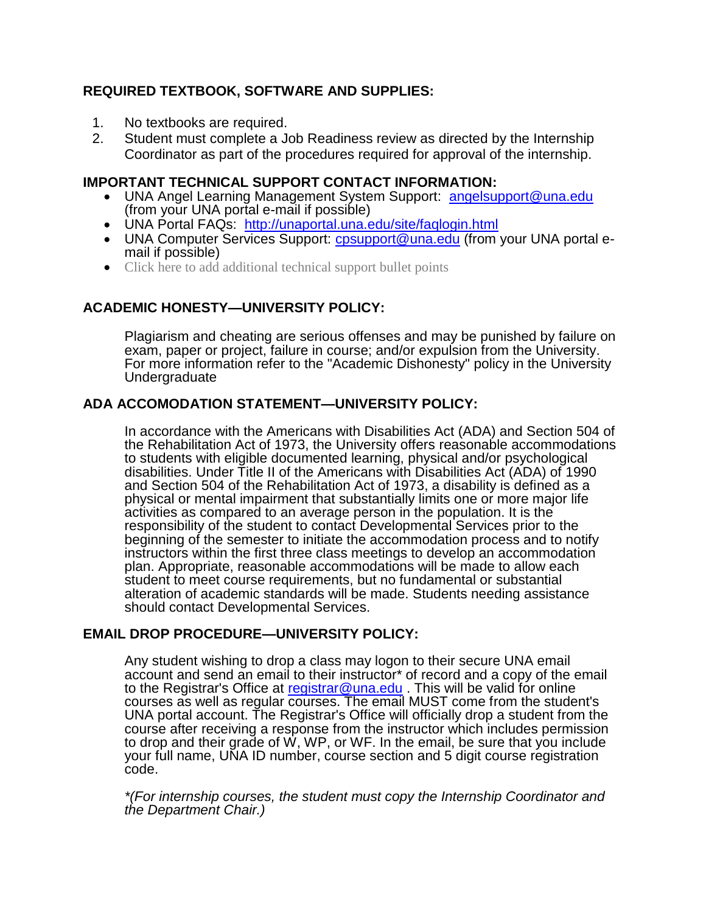## **REQUIRED TEXTBOOK, SOFTWARE AND SUPPLIES:**

- 1. No textbooks are required.
- 2. Student must complete a Job Readiness review as directed by the Internship Coordinator as part of the procedures required for approval of the internship.

### **IMPORTANT TECHNICAL SUPPORT CONTACT INFORMATION:**

- UNA Angel Learning Management System Support: [angelsupport@una.edu](mailto:angelsupport@una.edu) (from your UNA portal e-mail if possible)
- UNA Portal FAQs: <http://unaportal.una.edu/site/faqlogin.html>
- UNA Computer Services Support: [cpsupport@una.edu](mailto:cpsupport@una.edu) (from your UNA portal email if possible)
- Click here to add additional technical support bullet points

## **ACADEMIC HONESTY—UNIVERSITY POLICY:**

Plagiarism and cheating are serious offenses and may be punished by failure on exam, paper or project, failure in course; and/or expulsion from the University. For more information refer to the "Academic Dishonesty" policy in the University Undergraduate

### **ADA ACCOMODATION STATEMENT—UNIVERSITY POLICY:**

In accordance with the Americans with Disabilities Act (ADA) and Section 504 of the Rehabilitation Act of 1973, the University offers reasonable accommodations to students with eligible documented learning, physical and/or psychological disabilities. Under Title II of the Americans with Disabilities Act (ADA) of 1990 and Section 504 of the Rehabilitation Act of 1973, a disability is defined as a physical or mental impairment that substantially limits one or more major life activities as compared to an average person in the population. It is the responsibility of the student to contact Developmental Services prior to the beginning of the semester to initiate the accommodation process and to notify instructors within the first three class meetings to develop an accommodation plan. Appropriate, reasonable accommodations will be made to allow each student to meet course requirements, but no fundamental or substantial alteration of academic standards will be made. Students needing assistance should contact Developmental Services.

### **EMAIL DROP PROCEDURE—UNIVERSITY POLICY:**

Any student wishing to drop a class may logon to their secure UNA email account and send an email to their instructor\* of record and a copy of the email to the Registrar's Office at [registrar@una.edu](mailto:registrar@una.edu). This will be valid for online courses as well as regular courses. The email MUST come from the student's UNA portal account. The Registrar's Office will officially drop a student from the course after receiving a response from the instructor which includes permission to drop and their grade of W, WP, or WF. In the email, be sure that you include your full name, UNA ID number, course section and 5 digit course registration code.

*\*(For internship courses, the student must copy the Internship Coordinator and the Department Chair.)*